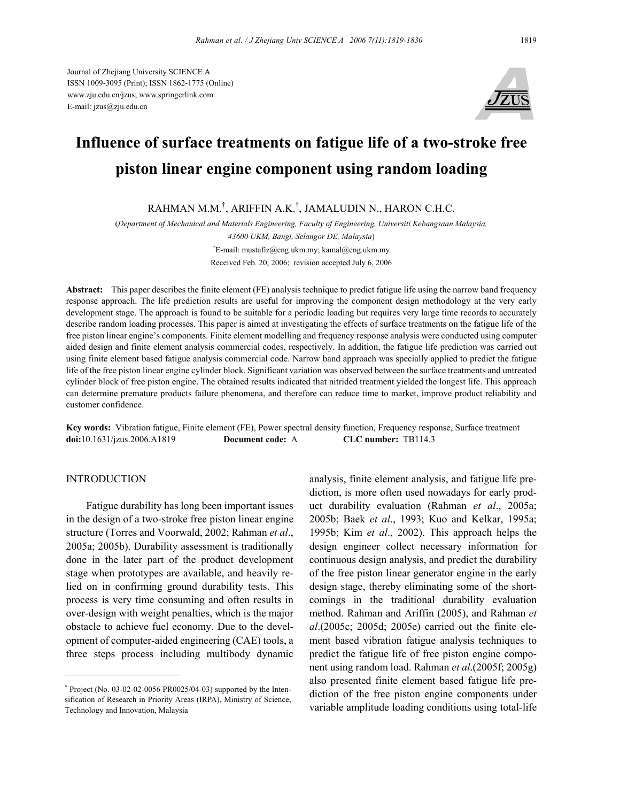Journal of Zhejiang University SCIENCE A ISSN 1009-3095 (Print); ISSN 1862-1775 (Online) www.zju.edu.cn/jzus; www.springerlink.com E-mail: jzus@zju.edu.cn



# **Influence of surface treatments on fatigue life of a two-stroke free piston linear engine component using random loading**

RAHMAN M.M.† , ARIFFIN A.K.† , JAMALUDIN N., HARON C.H.C.

(*Department of Mechanical and Materials Engineering, Faculty of Engineering, Universiti Kebangsaan Malaysia, 43600 UKM, Bangi, Selangor DE, Malaysia*) † E-mail: mustafiz@eng.ukm.my; kamal@eng.ukm.my Received Feb. 20, 2006; revision accepted July 6, 2006

**Abstract:** This paper describes the finite element (FE) analysis technique to predict fatigue life using the narrow band frequency response approach. The life prediction results are useful for improving the component design methodology at the very early development stage. The approach is found to be suitable for a periodic loading but requires very large time records to accurately describe random loading processes. This paper is aimed at investigating the effects of surface treatments on the fatigue life of the free piston linear engine's components. Finite element modelling and frequency response analysis were conducted using computer aided design and finite element analysis commercial codes, respectively. In addition, the fatigue life prediction was carried out using finite element based fatigue analysis commercial code. Narrow band approach was specially applied to predict the fatigue life of the free piston linear engine cylinder block. Significant variation was observed between the surface treatments and untreated cylinder block of free piston engine. The obtained results indicated that nitrided treatment yielded the longest life. This approach can determine premature products failure phenomena, and therefore can reduce time to market, improve product reliability and customer confidence.

**Key words:** Vibration fatigue, Finite element (FE), Power spectral density function, Frequency response, Surface treatment **doi:**10.1631/jzus.2006.A1819 **Document code:** A **CLC number:** TB114.3

## **INTRODUCTION**

Fatigue durability has long been important issues in the design of a two-stroke free piston linear engine structure (Torres and Voorwald, 2002; Rahman *et al*., 2005a; 2005b). Durability assessment is traditionally done in the later part of the product development stage when prototypes are available, and heavily relied on in confirming ground durability tests. This process is very time consuming and often results in over-design with weight penalties, which is the major obstacle to achieve fuel economy. Due to the development of computer-aided engineering (CAE) tools, a three steps process including multibody dynamic

analysis, finite element analysis, and fatigue life prediction, is more often used nowadays for early product durability evaluation (Rahman *et al*., 2005a; 2005b; Baek *et al*., 1993; Kuo and Kelkar, 1995a; 1995b; Kim *et al*., 2002). This approach helps the design engineer collect necessary information for continuous design analysis, and predict the durability of the free piston linear generator engine in the early design stage, thereby eliminating some of the shortcomings in the traditional durability evaluation method. Rahman and Ariffin (2005), and Rahman *et al*.(2005c; 2005d; 2005e) carried out the finite element based vibration fatigue analysis techniques to predict the fatigue life of free piston engine component using random load. Rahman *et al*.(2005f; 2005g) also presented finite element based fatigue life prediction of the free piston engine components under variable amplitude loading conditions using total-life

<sup>\*</sup> Project (No. 03-02-02-0056 PR0025/04-03) supported by the Intensification of Research in Priority Areas (IRPA), Ministry of Science, Technology and Innovation, Malaysia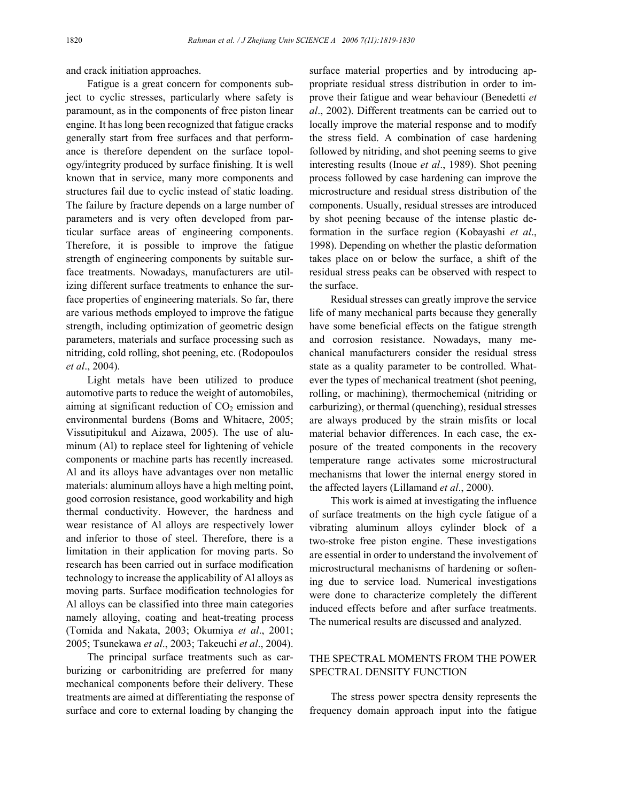and crack initiation approaches.

Fatigue is a great concern for components subject to cyclic stresses, particularly where safety is paramount, as in the components of free piston linear engine. It has long been recognized that fatigue cracks generally start from free surfaces and that performance is therefore dependent on the surface topology/integrity produced by surface finishing. It is well known that in service, many more components and structures fail due to cyclic instead of static loading. The failure by fracture depends on a large number of parameters and is very often developed from particular surface areas of engineering components. Therefore, it is possible to improve the fatigue strength of engineering components by suitable surface treatments. Nowadays, manufacturers are utilizing different surface treatments to enhance the surface properties of engineering materials. So far, there are various methods employed to improve the fatigue strength, including optimization of geometric design parameters, materials and surface processing such as nitriding, cold rolling, shot peening, etc. (Rodopoulos *et al*., 2004).

Light metals have been utilized to produce automotive parts to reduce the weight of automobiles, aiming at significant reduction of  $CO<sub>2</sub>$  emission and environmental burdens (Boms and Whitacre, 2005; Vissutipitukul and Aizawa, 2005). The use of aluminum (Al) to replace steel for lightening of vehicle components or machine parts has recently increased. Al and its alloys have advantages over non metallic materials: aluminum alloys have a high melting point, good corrosion resistance, good workability and high thermal conductivity. However, the hardness and wear resistance of Al alloys are respectively lower and inferior to those of steel. Therefore, there is a limitation in their application for moving parts. So research has been carried out in surface modification technology to increase the applicability of Al alloys as moving parts. Surface modification technologies for Al alloys can be classified into three main categories namely alloying, coating and heat-treating process (Tomida and Nakata, 2003; Okumiya *et al*., 2001; 2005; Tsunekawa *et al*., 2003; Takeuchi *et al*., 2004).

The principal surface treatments such as carburizing or carbonitriding are preferred for many mechanical components before their delivery. These treatments are aimed at differentiating the response of surface and core to external loading by changing the surface material properties and by introducing appropriate residual stress distribution in order to improve their fatigue and wear behaviour (Benedetti *et al*., 2002). Different treatments can be carried out to locally improve the material response and to modify the stress field. A combination of case hardening followed by nitriding, and shot peening seems to give interesting results (Inoue *et al*., 1989). Shot peening process followed by case hardening can improve the microstructure and residual stress distribution of the components. Usually, residual stresses are introduced by shot peening because of the intense plastic deformation in the surface region (Kobayashi *et al*., 1998). Depending on whether the plastic deformation takes place on or below the surface, a shift of the residual stress peaks can be observed with respect to the surface.

Residual stresses can greatly improve the service life of many mechanical parts because they generally have some beneficial effects on the fatigue strength and corrosion resistance. Nowadays, many mechanical manufacturers consider the residual stress state as a quality parameter to be controlled. Whatever the types of mechanical treatment (shot peening, rolling, or machining), thermochemical (nitriding or carburizing), or thermal (quenching), residual stresses are always produced by the strain misfits or local material behavior differences. In each case, the exposure of the treated components in the recovery temperature range activates some microstructural mechanisms that lower the internal energy stored in the affected layers (Lillamand *et al*., 2000).

This work is aimed at investigating the influence of surface treatments on the high cycle fatigue of a vibrating aluminum alloys cylinder block of a two-stroke free piston engine. These investigations are essential in order to understand the involvement of microstructural mechanisms of hardening or softening due to service load. Numerical investigations were done to characterize completely the different induced effects before and after surface treatments. The numerical results are discussed and analyzed.

## THE SPECTRAL MOMENTS FROM THE POWER SPECTRAL DENSITY FUNCTION

The stress power spectra density represents the frequency domain approach input into the fatigue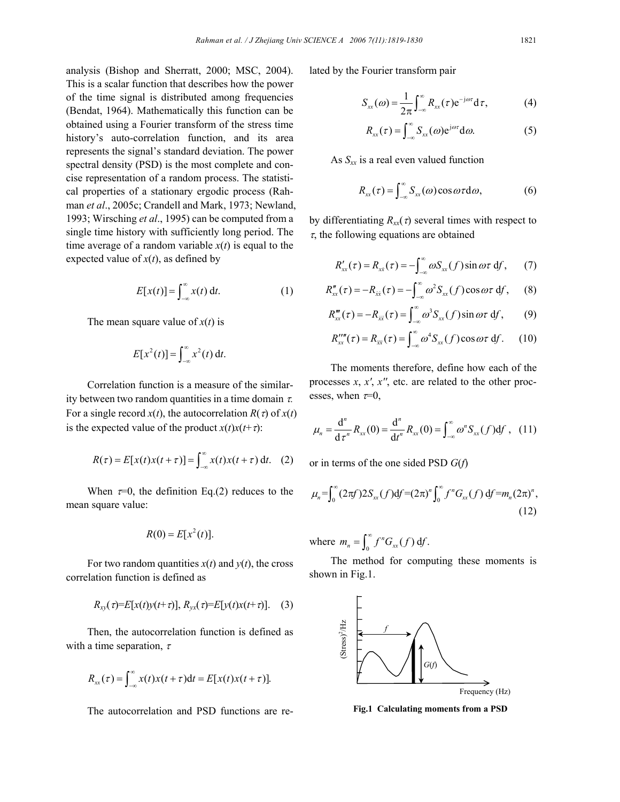analysis (Bishop and Sherratt, 2000; MSC, 2004). This is a scalar function that describes how the power of the time signal is distributed among frequencies (Bendat, 1964). Mathematically this function can be obtained using a Fourier transform of the stress time history's auto-correlation function, and its area represents the signal's standard deviation. The power spectral density (PSD) is the most complete and concise representation of a random process. The statistical properties of a stationary ergodic process (Rahman *et al*., 2005c; Crandell and Mark, 1973; Newland, 1993; Wirsching *et al*., 1995) can be computed from a single time history with sufficiently long period. The time average of a random variable  $x(t)$  is equal to the expected value of  $x(t)$ , as defined by

$$
E[x(t)] = \int_{-\infty}^{\infty} x(t) dt.
$$
 (1)

The mean square value of  $x(t)$  is

$$
E[x^2(t)] = \int_{-\infty}^{\infty} x^2(t) dt.
$$

Correlation function is a measure of the similarity between two random quantities in a time domain τ*.*  For a single record  $x(t)$ , the autocorrelation  $R(\tau)$  of  $x(t)$ is the expected value of the product  $x(t)x(t+\tau)$ :

$$
R(\tau) = E[x(t)x(t+\tau)] = \int_{-\infty}^{\infty} x(t)x(t+\tau) dt.
$$
 (2)

When  $\tau=0$ , the definition Eq.(2) reduces to the mean square value:

$$
R(0) = E[x^2(t)].
$$

For two random quantities  $x(t)$  and  $y(t)$ , the cross correlation function is defined as

$$
R_{xy}(\tau) = E[x(t)y(t+\tau)], R_{yx}(\tau) = E[y(t)x(t+\tau)]. \quad (3)
$$

Then, the autocorrelation function is defined as with a time separation,  $\tau$ 

$$
R_{xx}(\tau) = \int_{-\infty}^{\infty} x(t)x(t+\tau)dt = E[x(t)x(t+\tau)].
$$

The autocorrelation and PSD functions are re-

lated by the Fourier transform pair

$$
S_{xx}(\omega) = \frac{1}{2\pi} \int_{-\infty}^{\infty} R_{xx}(\tau) e^{-j\omega\tau} d\tau, \qquad (4)
$$

$$
R_{xx}(\tau) = \int_{-\infty}^{\infty} S_{xx}(\omega) e^{j\omega \tau} d\omega.
$$
 (5)

As  $S_{xx}$  is a real even valued function

$$
R_{xx}(\tau) = \int_{-\infty}^{\infty} S_{xx}(\omega) \cos \omega \tau \, d\omega, \tag{6}
$$

by differentiating  $R_{xx}(\tau)$  several times with respect to  $\tau$ , the following equations are obtained

$$
R'_{xx}(\tau) = R_{xx}(\tau) = -\int_{-\infty}^{\infty} \omega S_{xx}(f) \sin \omega \tau \, df, \qquad (7)
$$

$$
R''_{xx}(\tau) = -R_{xx}(\tau) = -\int_{-\infty}^{\infty} \omega^2 S_{xx}(f) \cos \omega \tau \, df, \quad (8)
$$

$$
R''_{xx}(\tau) = -R_{xx}(\tau) = \int_{-\infty}^{\infty} \omega^3 S_{xx}(f) \sin \omega \tau \, df, \qquad (9)
$$

$$
R_{xx}^{\prime\prime\prime\prime}(\tau) = R_{xx}(\tau) = \int_{-\infty}^{\infty} \omega^4 S_{xx}(f) \cos \omega \tau \, df. \tag{10}
$$

The moments therefore, define how each of the processes *x*, *x'*, *x''*, etc. are related to the other processes, when  $\tau=0$ ,

$$
\mu_n = \frac{d^n}{d\tau^n} R_{xx}(0) = \frac{d^n}{dt^n} R_{xx}(0) = \int_{-\infty}^{\infty} \omega^n S_{xx}(f) df , \quad (11)
$$

or in terms of the one sided PSD *G*(*f*)

$$
\mu_n = \int_0^\infty (2\pi f) 2S_{xx}(f) df = (2\pi)^n \int_0^\infty f^n G_{xx}(f) df = m_n (2\pi)^n,
$$
\n(12)

where  $m_n = \int_0^\infty f^n G_{xx}(f) \, df$ .

The method for computing these moments is shown in Fig.1.



**Fig.1 Calculating moments from a PSD**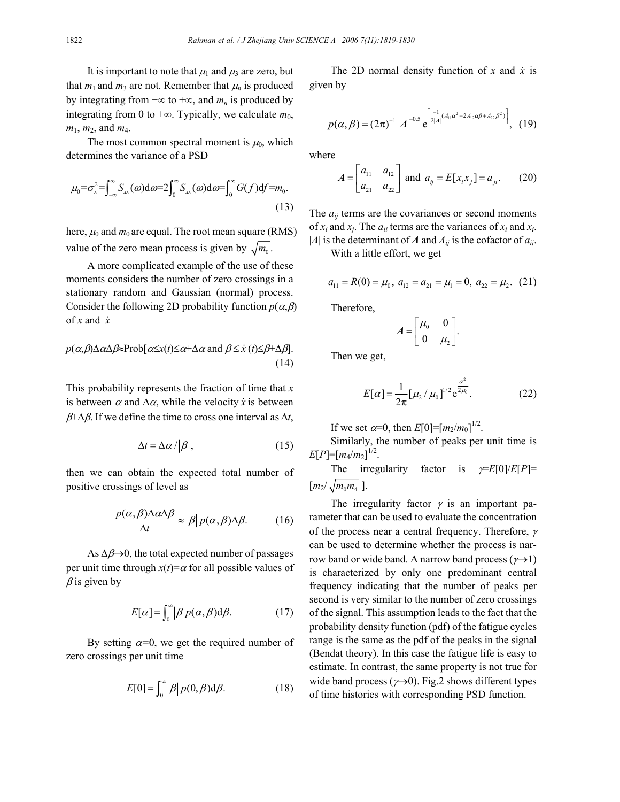It is important to note that  $\mu_1$  and  $\mu_3$  are zero, but that  $m_1$  and  $m_3$  are not. Remember that  $\mu_n$  is produced by integrating from  $-\infty$  to  $+\infty$ , and  $m_n$  is produced by integrating from 0 to  $+\infty$ . Typically, we calculate  $m_0$ ,  $m_1$ *, m*<sub>2</sub>*,* and *m*<sub>4</sub>*.* 

The most common spectral moment is  $\mu_0$ , which determines the variance of a PSD

$$
\mu_0 = \sigma_x^2 = \int_{-\infty}^{\infty} S_{xx}(\omega) d\omega = 2 \int_0^{\infty} S_{xx}(\omega) d\omega = \int_0^{\infty} G(f) df = m_0.
$$
\n(13)

here,  $\mu_0$  and  $m_0$  are equal. The root mean square (RMS) value of the zero mean process is given by  $\sqrt{m_0}$ .

A more complicated example of the use of these moments considers the number of zero crossings in a stationary random and Gaussian (normal) process. Consider the following 2D probability function  $p(\alpha, \beta)$ of *x* and *x*

$$
p(\alpha,\beta)\Delta\alpha\Delta\beta \approx \text{Prob}[\alpha \le x(t) \le \alpha + \Delta\alpha \text{ and } \beta \le \dot{x}(t) \le \beta + \Delta\beta].
$$
\n(14)

This probability represents the fraction of time that *x* is between  $\alpha$  and  $\Delta \alpha$ , while the velocity *x* is between β+∆β. If we define the time to cross one interval as ∆*t*,

$$
\Delta t = \Delta \alpha / |\beta|, \tag{15}
$$

then we can obtain the expected total number of positive crossings of level as

$$
\frac{p(\alpha,\beta)\Delta\alpha\Delta\beta}{\Delta t} \approx |\beta| p(\alpha,\beta)\Delta\beta. \tag{16}
$$

As  $\Delta\beta \rightarrow 0$ , the total expected number of passages per unit time through  $x(t) = \alpha$  for all possible values of  $\beta$  is given by

$$
E[\alpha] = \int_0^\infty |\beta| p(\alpha, \beta) \mathrm{d}\beta. \tag{17}
$$

By setting  $\alpha=0$ , we get the required number of zero crossings per unit time

$$
E[0] = \int_0^\infty |\beta| \, p(0, \beta) \mathrm{d}\beta. \tag{18}
$$

The 2D normal density function of *x* and *x* is given by

$$
p(\alpha, \beta) = (2\pi)^{-1} |A|^{-0.5} e^{\left[\frac{-1}{2|A|}(A_{11}\alpha^2 + 2A_{12}\alpha\beta + A_{22}\beta^2)\right]}, (19)
$$

where

$$
A = \begin{bmatrix} a_{11} & a_{12} \\ a_{21} & a_{22} \end{bmatrix} \text{ and } a_{ij} = E[x_i x_j] = a_{ji}. \tag{20}
$$

The  $a_{ij}$  terms are the covariances or second moments of  $x_i$  and  $x_j$ . The  $a_{ii}$  terms are the variances of  $x_i$  and  $x_i$ . |*A*| is the determinant of *A* and  $A_{ii}$  is the cofactor of  $a_{ii}$ .

With a little effort, we get

 $a_{11} = R(0) = \mu_0, a_{12} = a_{21} = \mu_1 = 0, a_{22} = \mu_2$ . (21)

Therefore,

$$
A = \begin{bmatrix} \mu_0 & 0 \\ 0 & \mu_2 \end{bmatrix}.
$$

Then we get,

$$
E[\alpha] = \frac{1}{2\pi} [\mu_2 / \mu_0]^{1/2} e^{\frac{\alpha^2}{2\mu_0}}.
$$
 (22)

If we set  $\alpha=0$ , then  $E[0]=[m_2/m_0]^{1/2}$ .

Similarly, the number of peaks per unit time is  $E[P] = [m_4/m_2]^{1/2}$ .

The irregularity factor is γ=*E*[0]/*E*[*P*]=  $[m_2/\sqrt{m_0 m_4}]$ .

The irregularity factor  $\gamma$  is an important parameter that can be used to evaluate the concentration of the process near a central frequency. Therefore, <sup>γ</sup> can be used to determine whether the process is narrow band or wide band. A narrow band process ( $\gamma \rightarrow 1$ ) is characterized by only one predominant central frequency indicating that the number of peaks per second is very similar to the number of zero crossings of the signal. This assumption leads to the fact that the probability density function (pdf) of the fatigue cycles range is the same as the pdf of the peaks in the signal (Bendat theory). In this case the fatigue life is easy to estimate. In contrast, the same property is not true for wide band process ( $\gamma \rightarrow 0$ ). Fig.2 shows different types of time histories with corresponding PSD function.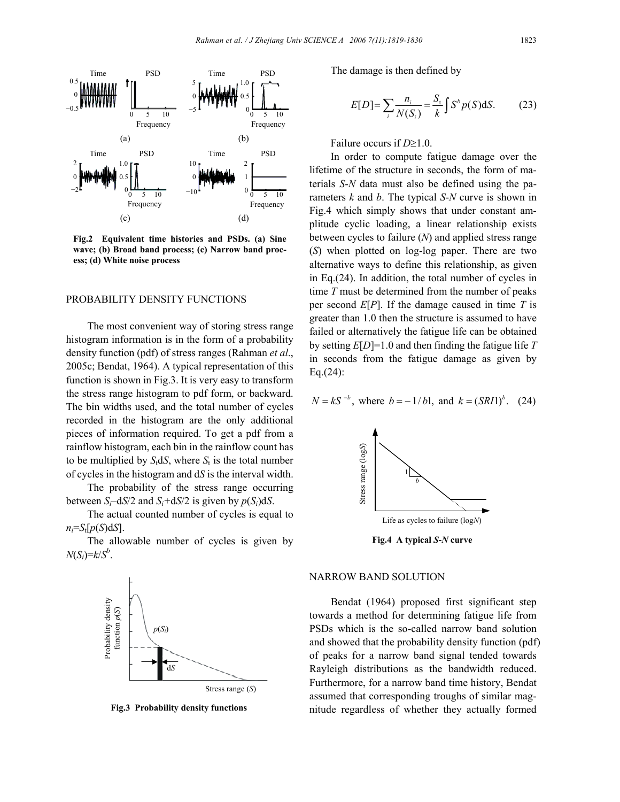

**Fig.2 Equivalent time histories and PSDs. (a) Sine wave; (b) Broad band process; (c) Narrow band process; (d) White noise process** 

#### PROBABILITY DENSITY FUNCTIONS

The most convenient way of storing stress range histogram information is in the form of a probability density function (pdf) of stress ranges (Rahman *et al*., 2005c; Bendat, 1964). A typical representation of this function is shown in Fig.3. It is very easy to transform the stress range histogram to pdf form, or backward. The bin widths used, and the total number of cycles recorded in the histogram are the only additional pieces of information required. To get a pdf from a rainflow histogram, each bin in the rainflow count has to be multiplied by  $S_t$ d $S$ , where  $S_t$  is the total number of cycles in the histogram and d*S* is the interval width.

The probability of the stress range occurring between  $S_i$ —d $S/2$  and  $S_i$ +d $S/2$  is given by  $p(S_i)$ d $S$ .

The actual counted number of cycles is equal to  $n_i = S_t[p(S)dS].$ 

The allowable number of cycles is given by  $N(S_i)=k/S^b$ .



**Fig.3 Probability density functions** 

The damage is then defined by

$$
E[D] = \sum_{i} \frac{n_i}{N(S_i)} = \frac{S_t}{k} \int S^b p(S) dS.
$$
 (23)

Failure occurs if *D*≥1.0.

In order to compute fatigue damage over the lifetime of the structure in seconds, the form of materials *S*-*N* data must also be defined using the parameters *k* and *b*. The typical *S*-*N* curve is shown in Fig.4 which simply shows that under constant amplitude cyclic loading, a linear relationship exists between cycles to failure (*N*) and applied stress range (*S*) when plotted on log-log paper. There are two alternative ways to define this relationship, as given in Eq.(24). In addition, the total number of cycles in time *T* must be determined from the number of peaks per second *E*[*P*]. If the damage caused in time *T* is greater than 1.0 then the structure is assumed to have failed or alternatively the fatigue life can be obtained by setting *E*[*D*]=1.0 and then finding the fatigue life *T* in seconds from the fatigue damage as given by Eq.(24):

 $N = kS^{-b}$ , where  $b = -1/b1$ , and  $k = (SRI1)^b$ . (24)



**Fig.4 A typical** *S***-***N* **curve** 

### NARROW BAND SOLUTION

Bendat (1964) proposed first significant step towards a method for determining fatigue life from PSDs which is the so-called narrow band solution and showed that the probability density function (pdf) of peaks for a narrow band signal tended towards Rayleigh distributions as the bandwidth reduced. Furthermore, for a narrow band time history, Bendat assumed that corresponding troughs of similar magnitude regardless of whether they actually formed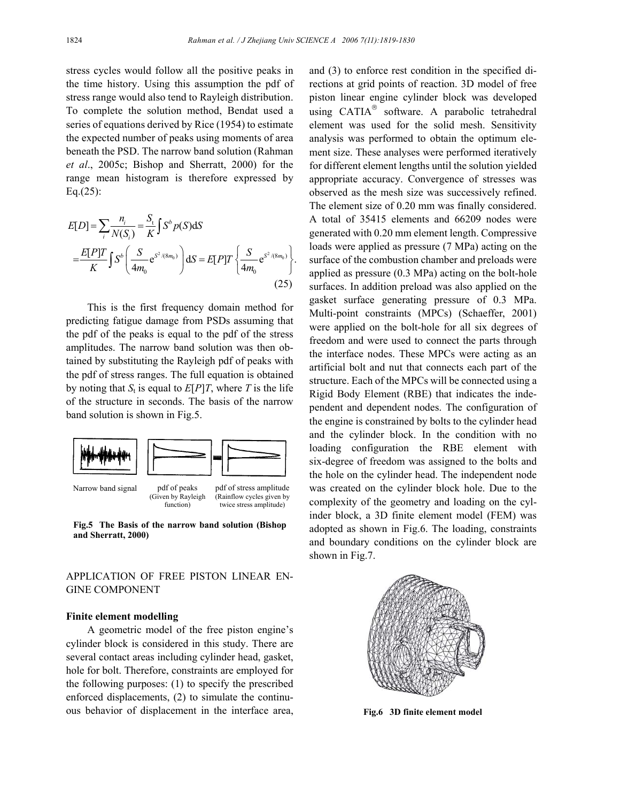stress cycles would follow all the positive peaks in the time history. Using this assumption the pdf of stress range would also tend to Rayleigh distribution. To complete the solution method, Bendat used a series of equations derived by Rice (1954) to estimate the expected number of peaks using moments of area beneath the PSD. The narrow band solution (Rahman *et al*., 2005c; Bishop and Sherratt, 2000) for the range mean histogram is therefore expressed by Eq. $(25)$ :

$$
E[D] = \sum_{i} \frac{n_{i}}{N(S_{i})} = \frac{S_{t}}{K} \int S^{b} p(S) dS
$$
  
=  $\frac{E[P]T}{K} \int S^{b} \left( \frac{S}{4m_{0}} e^{S^{2}/(8m_{0})} \right) dS = E[P]T \left\{ \frac{S}{4m_{0}} e^{S^{2}/(8m_{0})} \right\}.$  (25)

This is the first frequency domain method for predicting fatigue damage from PSDs assuming that the pdf of the peaks is equal to the pdf of the stress amplitudes. The narrow band solution was then obtained by substituting the Rayleigh pdf of peaks with the pdf of stress ranges. The full equation is obtained by noting that  $S_t$  is equal to  $E[P]T$ , where *T* is the life of the structure in seconds. The basis of the narrow band solution is shown in Fig.5.



(Given by Rayleigh function) pdf of stress amplitude (Rainflow cycles given by twice stress amplitude)

**Fig.5 The Basis of the narrow band solution (Bishop and Sherratt, 2000)** 

# APPLICATION OF FREE PISTON LINEAR EN-GINE COMPONENT

#### **Finite element modelling**

A geometric model of the free piston engine's cylinder block is considered in this study. There are several contact areas including cylinder head, gasket, hole for bolt. Therefore, constraints are employed for the following purposes: (1) to specify the prescribed enforced displacements, (2) to simulate the continuous behavior of displacement in the interface area, and (3) to enforce rest condition in the specified directions at grid points of reaction. 3D model of free piston linear engine cylinder block was developed using  $CATIA^{\circledast}$  software. A parabolic tetrahedral element was used for the solid mesh. Sensitivity analysis was performed to obtain the optimum element size. These analyses were performed iteratively for different element lengths until the solution yielded appropriate accuracy. Convergence of stresses was observed as the mesh size was successively refined. The element size of 0.20 mm was finally considered. A total of 35415 elements and 66209 nodes were generated with 0.20 mm element length. Compressive loads were applied as pressure (7 MPa) acting on the surface of the combustion chamber and preloads were applied as pressure (0.3 MPa) acting on the bolt-hole surfaces. In addition preload was also applied on the gasket surface generating pressure of 0.3 MPa. Multi-point constraints (MPCs) (Schaeffer, 2001) were applied on the bolt-hole for all six degrees of freedom and were used to connect the parts through the interface nodes. These MPCs were acting as an artificial bolt and nut that connects each part of the structure. Each of the MPCs will be connected using a Rigid Body Element (RBE) that indicates the independent and dependent nodes. The configuration of the engine is constrained by bolts to the cylinder head and the cylinder block. In the condition with no loading configuration the RBE element with six-degree of freedom was assigned to the bolts and the hole on the cylinder head. The independent node was created on the cylinder block hole. Due to the complexity of the geometry and loading on the cylinder block, a 3D finite element model (FEM) was adopted as shown in Fig.6. The loading, constraints and boundary conditions on the cylinder block are shown in Fig.7.



**Fig.6 3D finite element model**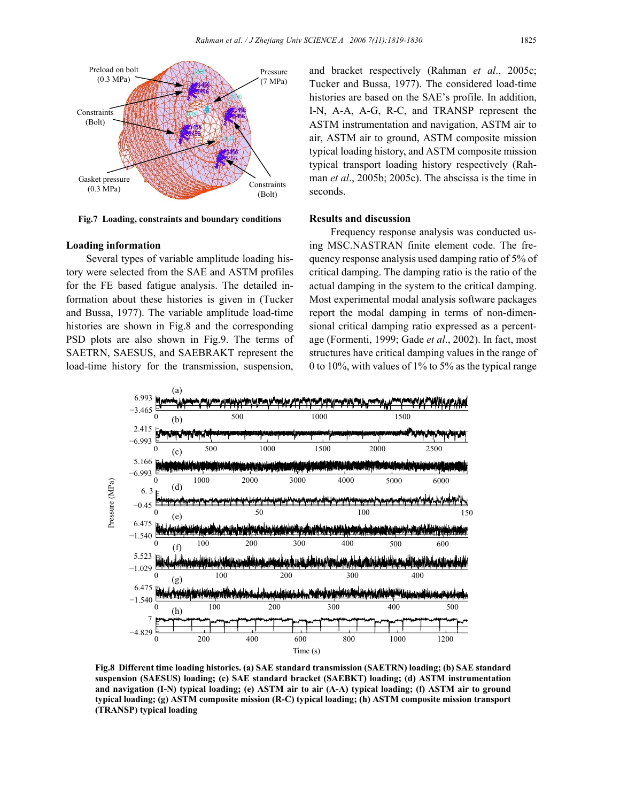

**Fig.7 Loading, constraints and boundary conditions** 

#### **Loading information**

Several types of variable amplitude loading history were selected from the SAE and ASTM profiles for the FE based fatigue analysis. The detailed information about these histories is given in (Tucker and Bussa, 1977). The variable amplitude load-time histories are shown in Fig.8 and the corresponding PSD plots are also shown in Fig.9. The terms of SAETRN, SAESUS, and SAEBRAKT represent the load-time history for the transmission, suspension,

and bracket respectively (Rahman *et al*., 2005c; Tucker and Bussa, 1977). The considered load-time histories are based on the SAE's profile. In addition, I-N, A-A, A-G, R-C, and TRANSP represent the ASTM instrumentation and navigation, ASTM air to air, ASTM air to ground, ASTM composite mission typical loading history, and ASTM composite mission typical transport loading history respectively (Rahman *et al*., 2005b; 2005c). The abscissa is the time in seconds.

#### **Results and discussion**

Frequency response analysis was conducted using MSC.NASTRAN finite element code. The frequency response analysis used damping ratio of 5% of critical damping. The damping ratio is the ratio of the actual damping in the system to the critical damping. Most experimental modal analysis software packages report the modal damping in terms of non-dimensional critical damping ratio expressed as a percentage (Formenti, 1999; Gade *et al*., 2002). In fact, most structures have critical damping values in the range of 0 to 10%, with values of 1% to 5% as the typical range



**Fig.8 Different time loading histories. (a) SAE standard transmission (SAETRN) loading; (b) SAE standard suspension (SAESUS) loading; (c) SAE standard bracket (SAEBKT) loading; (d) ASTM instrumentation and navigation (I-N) typical loading; (e) ASTM air to air (A-A) typical loading; (f) ASTM air to ground typical loading; (g) ASTM composite mission (R-C) typical loading; (h) ASTM composite mission transport (TRANSP) typical loading**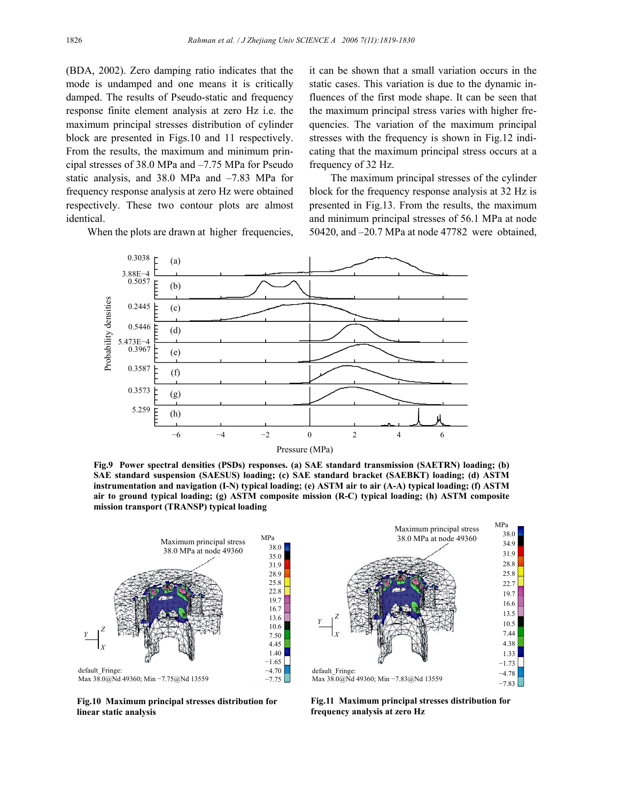(BDA, 2002). Zero damping ratio indicates that the mode is undamped and one means it is critically damped. The results of Pseudo-static and frequency response finite element analysis at zero Hz i.e. the maximum principal stresses distribution of cylinder block are presented in Figs.10 and 11 respectively. From the results, the maximum and minimum principal stresses of 38.0 MPa and –7.75 MPa for Pseudo static analysis, and 38.0 MPa and –7.83 MPa for frequency response analysis at zero Hz were obtained respectively. These two contour plots are almost identical.

When the plots are drawn at higher frequencies,

it can be shown that a small variation occurs in the static cases. This variation is due to the dynamic influences of the first mode shape. It can be seen that the maximum principal stress varies with higher frequencies. The variation of the maximum principal stresses with the frequency is shown in Fig.12 indicating that the maximum principal stress occurs at a frequency of 32 Hz.

The maximum principal stresses of the cylinder block for the frequency response analysis at 32 Hz is presented in Fig.13. From the results, the maximum and minimum principal stresses of 56.1 MPa at node 50420, and –20.7 MPa at node 47782 were obtained,



**Fig.9 Power spectral densities (PSDs) responses. (a) SAE standard transmission (SAETRN) loading; (b) SAE standard suspension (SAESUS) loading; (c) SAE standard bracket (SAEBKT) loading; (d) ASTM instrumentation and navigation (I-N) typical loading; (e) ASTM air to air (A-A) typical loading; (f) ASTM air to ground typical loading; (g) ASTM composite mission (R-C) typical loading; (h) ASTM composite mission transport (TRANSP) typical loading** 



**Fig.10 Maximum principal stresses distribution for linear static analysis** 

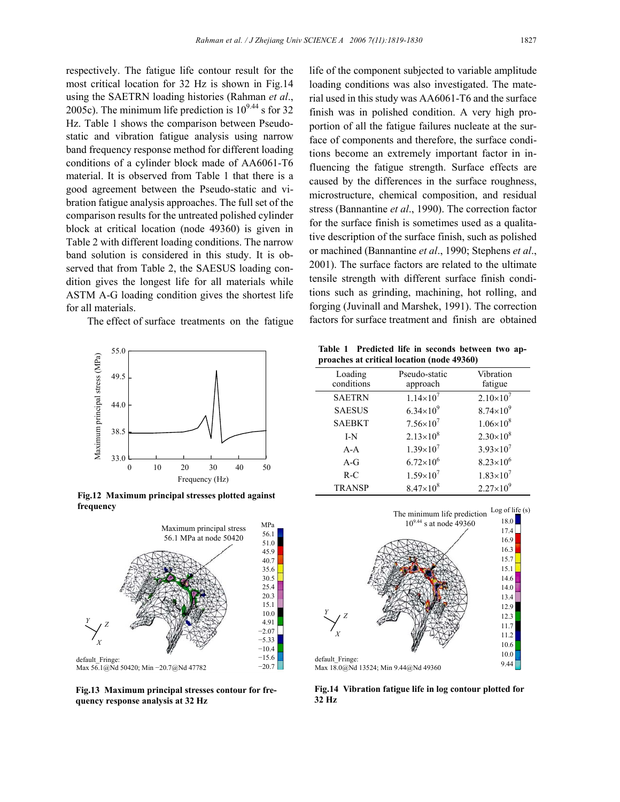respectively. The fatigue life contour result for the most critical location for 32 Hz is shown in Fig.14 using the SAETRN loading histories (Rahman *et al*., 2005c). The minimum life prediction is  $10^{9.44}$  s for 32 Hz. Table 1 shows the comparison between Pseudostatic and vibration fatigue analysis using narrow band frequency response method for different loading conditions of a cylinder block made of AA6061-T6 material. It is observed from Table 1 that there is a good agreement between the Pseudo-static and vibration fatigue analysis approaches. The full set of the comparison results for the untreated polished cylinder block at critical location (node 49360) is given in Table 2 with different loading conditions. The narrow band solution is considered in this study. It is observed that from Table 2, the SAESUS loading condition gives the longest life for all materials while ASTM A-G loading condition gives the shortest life for all materials.

The effect of surface treatments on the fatigue



**Fig.12 Maximum principal stresses plotted against frequency** 



**Fig.13 Maximum principal stresses contour for frequency response analysis at 32 Hz** 

life of the component subjected to variable amplitude loading conditions was also investigated. The material used in this study was AA6061-T6 and the surface finish was in polished condition. A very high proportion of all the fatigue failures nucleate at the surface of components and therefore, the surface conditions become an extremely important factor in influencing the fatigue strength. Surface effects are caused by the differences in the surface roughness, microstructure, chemical composition, and residual stress (Bannantine *et al*., 1990). The correction factor for the surface finish is sometimes used as a qualitative description of the surface finish, such as polished or machined (Bannantine *et al*., 1990; Stephens *et al*., 2001). The surface factors are related to the ultimate tensile strength with different surface finish conditions such as grinding, machining, hot rolling, and forging (Juvinall and Marshek, 1991). The correction factors for surface treatment and finish are obtained

**Table 1 Predicted life in seconds between two approaches at critical location (node 49360)** 

| Loading<br>conditions | Pseudo-static<br>approach | Vibration<br>fatigue |
|-----------------------|---------------------------|----------------------|
| <b>SAETRN</b>         | $1.14\times10^{7}$        | $2.10\times10^{7}$   |
| <b>SAESUS</b>         | $6.34\times10^{9}$        | $8.74 \times 10^{9}$ |
| <b>SAEBKT</b>         | $7.56 \times 10^7$        | $1.06\times10^{8}$   |
| I-N                   | $2.13\times10^{8}$        | $2.30\times10^{8}$   |
| $A - A$               | $1.39\times10^{7}$        | $3.93 \times 10^{7}$ |
| $A-G$                 | $6.72\times10^{6}$        | $8.23\times10^{6}$   |
| $R-C$                 | $1.59\times10^{7}$        | $1.83\times10^{7}$   |
| <b>TRANSP</b>         | $8.47\times10^{8}$        | $2.27\times10^{9}$   |
|                       |                           |                      |



**Fig.14 Vibration fatigue life in log contour plotted for 32 Hz**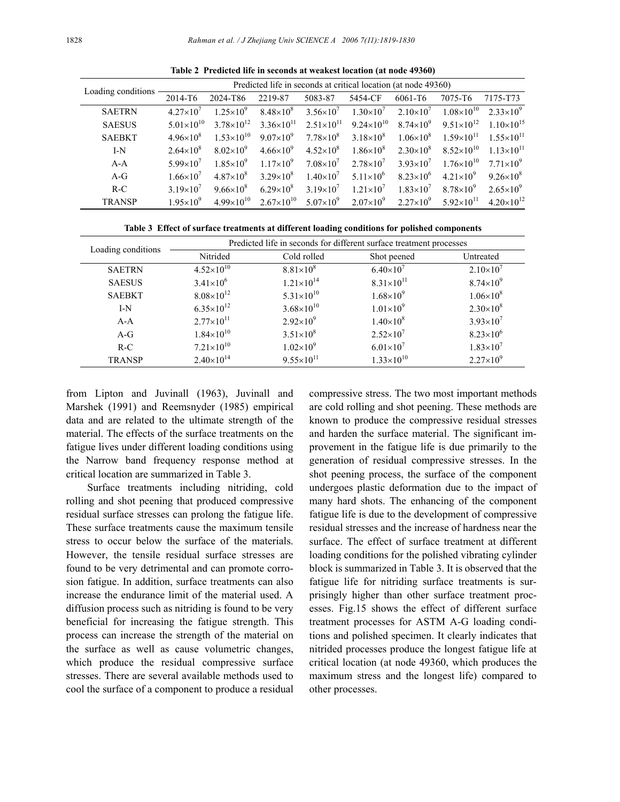| Loading conditions | Predicted life in seconds at critical location (at node 49360) |                      |                      |                      |                       |                      |                       |                      |
|--------------------|----------------------------------------------------------------|----------------------|----------------------|----------------------|-----------------------|----------------------|-----------------------|----------------------|
|                    | 2014-T6                                                        | 2024-T86             | 2219-87              | 5083-87              | 5454-CF               | $6061 - T6$          | 7075-T6               | 7175-T73             |
| <b>SAETRN</b>      | $4.27\times10^{7}$                                             | $1.25 \times 10^{9}$ | $8.48\times10^{8}$   | $3.56 \times 10^{7}$ | $1.30\times10^{7}$    | $2.10\times10^{7}$   | $1.08\times10^{10}$   | $2.33\times10^{9}$   |
| <b>SAESUS</b>      | $5.01\times10^{10}$                                            | $3.78\times10^{12}$  | $3.36\times10^{11}$  | $2.51\times10^{11}$  | $9.24 \times 10^{10}$ | $8.74 \times 10^{9}$ | $9.51 \times 10^{12}$ | $1.10\times10^{15}$  |
| <b>SAEBKT</b>      | $4.96\times10^{8}$                                             | $1.53\times10^{10}$  | $9.07\times10^{9}$   | $7.78\times10^{8}$   | $3.18\times10^{8}$    | $1.06\times10^{8}$   | $1.59\times10^{11}$   | $1.55\times10^{11}$  |
| I-N                | $2.64 \times 10^{8}$                                           | $8.02\times10^{9}$   | $4.66 \times 10^{9}$ | $4.52\times10^{8}$   | $1.86\times10^{8}$    | $2.30\times10^{8}$   | $8.52\times10^{10}$   | $1.13\times10^{11}$  |
| $A - A$            | $5.99 \times 10^{7}$                                           | $1.85 \times 10^{9}$ | $1.17\times10^{9}$   | $7.08\times10^{7}$   | $2.78\times10^{7}$    | $3.93\times10^{7}$   | $1.76\times10^{10}$   | $7.71\times10^{9}$   |
| $A-G$              | $1.66\times10^{7}$                                             | $4.87\times10^{8}$   | $3.29\times10^{8}$   | $1.40\times10^{7}$   | $5.11\times10^{6}$    | $8.23\times10^{6}$   | $4.21\times10^{9}$    | $9.26 \times 10^8$   |
| $R-C$              | $3.19\times10^{7}$                                             | $9.66 \times 10^8$   | $6.29\times10^{8}$   | $3.19\times10^{7}$   | $1.21 \times 10^{7}$  | $1.83\times10^{7}$   | $8.78 \times 10^{9}$  | $2.65 \times 10^{9}$ |
| <b>TRANSP</b>      | $1.95 \times 10^{9}$                                           | $4.99\times10^{10}$  | $2.67\times10^{10}$  | $5.07\times10^{9}$   | $2.07\times10^{9}$    | $2.27\times10^{9}$   | $5.92\times10^{11}$   | $4.20\times10^{12}$  |

**Table 2 Predicted life in seconds at weakest location (at node 49360)** 

**Table 3 Effect of surface treatments at different loading conditions for polished components** 

| Loading conditions | Predicted life in seconds for different surface treatment processes |                       |                      |                      |  |  |
|--------------------|---------------------------------------------------------------------|-----------------------|----------------------|----------------------|--|--|
|                    | Nitrided                                                            | Cold rolled           | Shot peened          | Untreated            |  |  |
| <b>SAETRN</b>      | $4.52\times10^{10}$                                                 | $8.81\times10^{8}$    | $6.40\times10^{7}$   | $2.10\times10^{7}$   |  |  |
| <b>SAESUS</b>      | $3.41\times10^{6}$                                                  | $1.21\times10^{14}$   | $8.31\times10^{11}$  | $8.74 \times 10^{9}$ |  |  |
| <b>SAEBKT</b>      | $8.08\times10^{12}$                                                 | $5.31\times10^{10}$   | $1.68\times10^{9}$   | $1.06\times10^{8}$   |  |  |
| I-N                | $6.35\times10^{12}$                                                 | $3.68\times10^{10}$   | $1.01\times10^{9}$   | $2.30\times10^{8}$   |  |  |
| $A - A$            | $2.77\times10^{11}$                                                 | $2.92\times10^{9}$    | $1.40\times10^{8}$   | $3.93 \times 10^{7}$ |  |  |
| $A-G$              | $1.84\times10^{10}$                                                 | $3.51\times10^{8}$    | $2.52\times10^{7}$   | $8.23 \times 10^{6}$ |  |  |
| $R-C$              | $7.21\times10^{10}$                                                 | $1.02\times10^{9}$    | $6.01 \times 10^{7}$ | $1.83 \times 10^{7}$ |  |  |
| <b>TRANSP</b>      | $2.40\times10^{14}$                                                 | $9.55 \times 10^{11}$ | $1.33\times10^{10}$  | $2.27 \times 10^{9}$ |  |  |

from Lipton and Juvinall (1963), Juvinall and Marshek (1991) and Reemsnyder (1985) empirical data and are related to the ultimate strength of the material. The effects of the surface treatments on the fatigue lives under different loading conditions using the Narrow band frequency response method at critical location are summarized in Table 3.

Surface treatments including nitriding, cold rolling and shot peening that produced compressive residual surface stresses can prolong the fatigue life. These surface treatments cause the maximum tensile stress to occur below the surface of the materials. However, the tensile residual surface stresses are found to be very detrimental and can promote corrosion fatigue. In addition, surface treatments can also increase the endurance limit of the material used. A diffusion process such as nitriding is found to be very beneficial for increasing the fatigue strength. This process can increase the strength of the material on the surface as well as cause volumetric changes, which produce the residual compressive surface stresses. There are several available methods used to cool the surface of a component to produce a residual

compressive stress. The two most important methods are cold rolling and shot peening. These methods are known to produce the compressive residual stresses and harden the surface material. The significant improvement in the fatigue life is due primarily to the generation of residual compressive stresses. In the shot peening process, the surface of the component undergoes plastic deformation due to the impact of many hard shots. The enhancing of the component fatigue life is due to the development of compressive residual stresses and the increase of hardness near the surface. The effect of surface treatment at different loading conditions for the polished vibrating cylinder block is summarized in Table 3. It is observed that the fatigue life for nitriding surface treatments is surprisingly higher than other surface treatment processes. Fig.15 shows the effect of different surface treatment processes for ASTM A-G loading conditions and polished specimen. It clearly indicates that nitrided processes produce the longest fatigue life at critical location (at node 49360, which produces the maximum stress and the longest life) compared to other processes.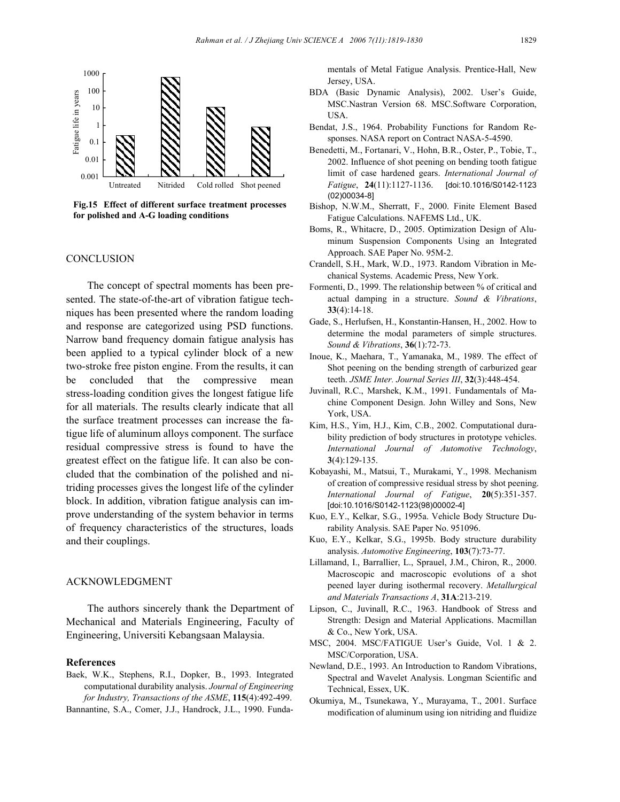

**Fig.15 Effect of different surface treatment processes for polished and A-G loading conditions** 

#### **CONCLUSION**

The concept of spectral moments has been presented. The state-of-the-art of vibration fatigue techniques has been presented where the random loading and response are categorized using PSD functions. Narrow band frequency domain fatigue analysis has been applied to a typical cylinder block of a new two-stroke free piston engine. From the results, it can be concluded that the compressive mean stress-loading condition gives the longest fatigue life for all materials. The results clearly indicate that all the surface treatment processes can increase the fatigue life of aluminum alloys component. The surface residual compressive stress is found to have the greatest effect on the fatigue life. It can also be concluded that the combination of the polished and nitriding processes gives the longest life of the cylinder block. In addition, vibration fatigue analysis can improve understanding of the system behavior in terms of frequency characteristics of the structures, loads and their couplings.

## ACKNOWLEDGMENT

The authors sincerely thank the Department of Mechanical and Materials Engineering, Faculty of Engineering, Universiti Kebangsaan Malaysia.

#### **References**

Baek, W.K., Stephens, R.I., Dopker, B., 1993. Integrated computational durability analysis. *Journal of Engineering for Industry, Transactions of the ASME*, **115**(4):492-499.

Bannantine, S.A., Comer, J.J., Handrock, J.L., 1990. Funda-

mentals of Metal Fatigue Analysis. Prentice-Hall, New Jersey, USA.

- BDA (Basic Dynamic Analysis), 2002. User's Guide, MSC.Nastran Version 68. MSC.Software Corporation, USA.
- Bendat, J.S., 1964. Probability Functions for Random Responses. NASA report on Contract NASA-5-4590.
- Benedetti, M., Fortanari, V., Hohn, B.R., Oster, P., Tobie, T., 2002. Influence of shot peening on bending tooth fatigue limit of case hardened gears. *International Journal of Fatigue*, **24**(11):1127-1136. [doi:10.1016/S0142-1123 (02)00034-8]
- Bishop, N.W.M., Sherratt, F., 2000. Finite Element Based Fatigue Calculations. NAFEMS Ltd., UK.
- Boms, R., Whitacre, D., 2005. Optimization Design of Aluminum Suspension Components Using an Integrated Approach. SAE Paper No. 95M-2.
- Crandell, S.H., Mark, W.D., 1973. Random Vibration in Mechanical Systems. Academic Press, New York.
- Formenti, D., 1999. The relationship between % of critical and actual damping in a structure. *Sound & Vibrations*, **33**(4):14-18.
- Gade, S., Herlufsen, H., Konstantin-Hansen, H., 2002. How to determine the modal parameters of simple structures. *Sound & Vibrations*, **36**(1):72-73.
- Inoue, K., Maehara, T., Yamanaka, M., 1989. The effect of Shot peening on the bending strength of carburized gear teeth. *JSME Inter. Journal Series III*, **32**(3):448-454.
- Juvinall, R.C., Marshek, K.M., 1991. Fundamentals of Machine Component Design. John Willey and Sons, New York, USA.
- Kim, H.S., Yim, H.J., Kim, C.B., 2002. Computational durability prediction of body structures in prototype vehicles. *International Journal of Automotive Technology*, **3**(4):129-135.
- Kobayashi, M., Matsui, T., Murakami, Y., 1998. Mechanism of creation of compressive residual stress by shot peening. *International Journal of Fatigue*, **20**(5):351-357. [doi:10.1016/S0142-1123(98)00002-4]
- Kuo, E.Y., Kelkar, S.G., 1995a. Vehicle Body Structure Durability Analysis. SAE Paper No. 951096.
- Kuo, E.Y., Kelkar, S.G., 1995b. Body structure durability analysis. *Automotive Engineering*, **103**(7):73-77.
- Lillamand, I., Barrallier, L., Sprauel, J.M., Chiron, R., 2000. Macroscopic and macroscopic evolutions of a shot peened layer during isothermal recovery. *Metallurgical and Materials Transactions A*, **31A**:213-219.
- Lipson, C., Juvinall, R.C., 1963. Handbook of Stress and Strength: Design and Material Applications. Macmillan & Co., New York, USA.
- MSC, 2004. MSC/FATIGUE User's Guide, Vol. 1 & 2. MSC/Corporation, USA.
- Newland, D.E., 1993. An Introduction to Random Vibrations, Spectral and Wavelet Analysis. Longman Scientific and Technical, Essex, UK.
- Okumiya, M., Tsunekawa, Y., Murayama, T., 2001. Surface modification of aluminum using ion nitriding and fluidize